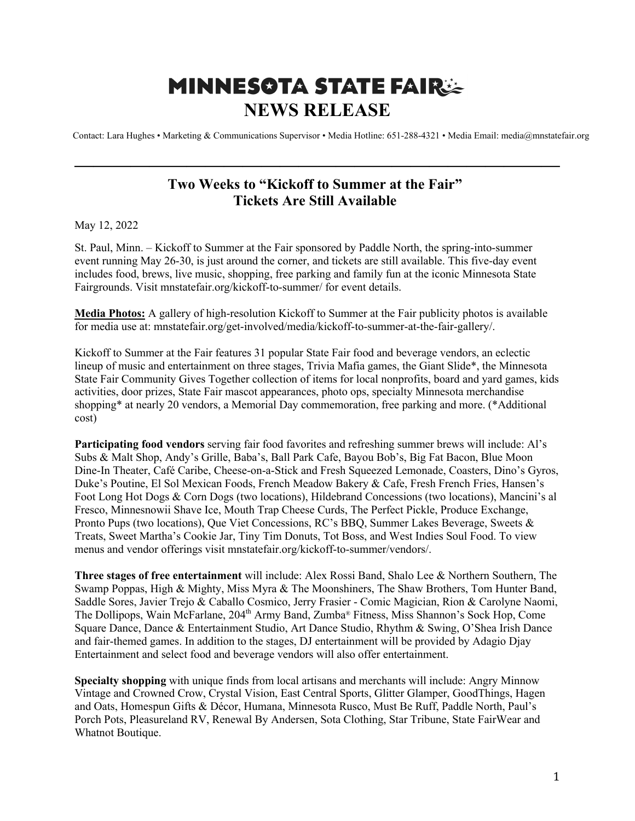## **MINNESOTA STATE FAIRSE NEWS RELEASE**

Contact: Lara Hughes • Marketing & Communications Supervisor • Media Hotline: 651-288-4321 • Media Email: media@mnstatefair.org

## **Two Weeks to "Kickoff to Summer at the Fair" Tickets Are Still Available**

**——————————————————————————**

May 12, 2022

St. Paul, Minn. – Kickoff to Summer at the Fair sponsored by Paddle North, the spring-into-summer event running May 26-30, is just around the corner, and tickets are still available. This five-day event includes food, brews, live music, shopping, free parking and family fun at the iconic Minnesota State Fairgrounds. Visit mnstatefair.org/kickoff-to-summer/ for event details.

**Media Photos:** A gallery of high-resolution Kickoff to Summer at the Fair publicity photos is available for media use at: mnstatefair.org/get-involved/media/kickoff-to-summer-at-the-fair-gallery/.

Kickoff to Summer at the Fair features 31 popular State Fair food and beverage vendors, an eclectic lineup of music and entertainment on three stages, Trivia Mafia games, the Giant Slide\*, the Minnesota State Fair Community Gives Together collection of items for local nonprofits, board and yard games, kids activities, door prizes, State Fair mascot appearances, photo ops, specialty Minnesota merchandise shopping\* at nearly 20 vendors, a Memorial Day commemoration, free parking and more. (\*Additional cost)

**Participating food vendors** serving fair food favorites and refreshing summer brews will include: Al's Subs & Malt Shop, Andy's Grille, Baba's, Ball Park Cafe, Bayou Bob's, Big Fat Bacon, Blue Moon Dine-In Theater, Café Caribe, Cheese-on-a-Stick and Fresh Squeezed Lemonade, Coasters, Dino's Gyros, Duke's Poutine, El Sol Mexican Foods, French Meadow Bakery & Cafe, Fresh French Fries, Hansen's Foot Long Hot Dogs & Corn Dogs (two locations), Hildebrand Concessions (two locations), Mancini's al Fresco, Minnesnowii Shave Ice, Mouth Trap Cheese Curds, The Perfect Pickle, Produce Exchange, Pronto Pups (two locations), Que Viet Concessions, RC's BBQ, Summer Lakes Beverage, Sweets & Treats, Sweet Martha's Cookie Jar, Tiny Tim Donuts, Tot Boss, and West Indies Soul Food. To view menus and vendor offerings visit mnstatefair.org/kickoff-to-summer/vendors/.

**Three stages of free entertainment** will include: Alex Rossi Band, Shalo Lee & Northern Southern, The Swamp Poppas, High & Mighty, Miss Myra & The Moonshiners, The Shaw Brothers, Tom Hunter Band, Saddle Sores, Javier Trejo & Caballo Cosmico, Jerry Frasier - Comic Magician, Rion & Carolyne Naomi, The Dollipops, Wain McFarlane, 204<sup>th</sup> Army Band, Zumba® Fitness, Miss Shannon's Sock Hop, Come Square Dance, Dance & Entertainment Studio, Art Dance Studio, Rhythm & Swing, O'Shea Irish Dance and fair-themed games. In addition to the stages, DJ entertainment will be provided by Adagio Djay Entertainment and select food and beverage vendors will also offer entertainment.

**Specialty shopping** with unique finds from local artisans and merchants will include: Angry Minnow Vintage and Crowned Crow, Crystal Vision, East Central Sports, Glitter Glamper, GoodThings, Hagen and Oats, Homespun Gifts & Décor, Humana, Minnesota Rusco, Must Be Ruff, Paddle North, Paul's Porch Pots, Pleasureland RV, Renewal By Andersen, Sota Clothing, Star Tribune, State FairWear and Whatnot Boutique.